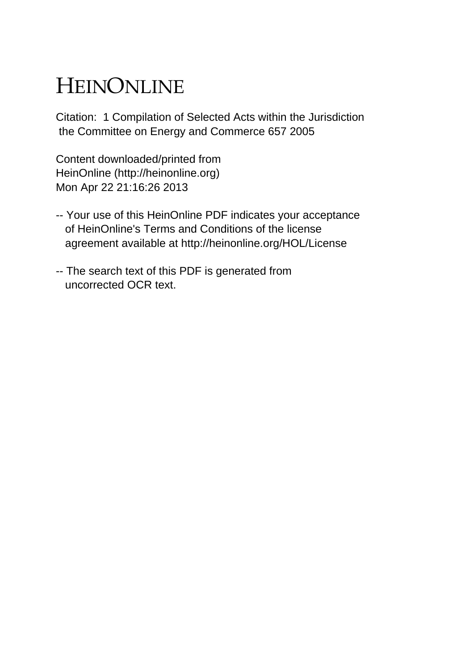# HEINONLINE

Citation: 1 Compilation of Selected Acts within the Jurisdiction the Committee on Energy and Commerce 657 2005

Content downloaded/printed from HeinOnline (http://heinonline.org) Mon Apr 22 21:16:26 2013

- -- Your use of this HeinOnline PDF indicates your acceptance of HeinOnline's Terms and Conditions of the license agreement available at http://heinonline.org/HOL/License
- -- The search text of this PDF is generated from uncorrected OCR text.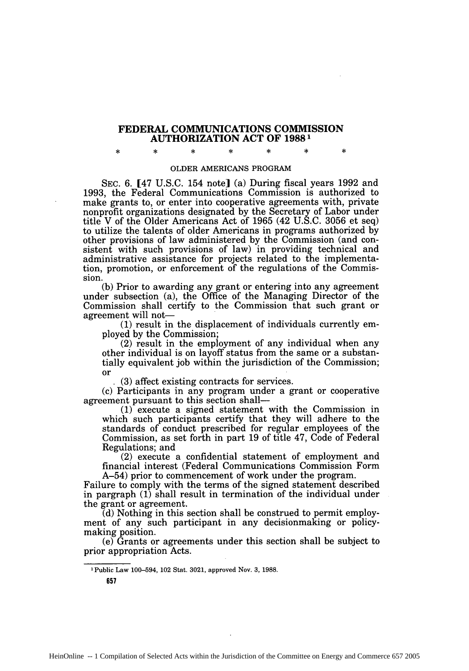### **FEDERAL COMMUNICATIONS COMMISSION AUTHORIZATION ACT OF 19881**

**\* \* \* \* \* \* \***

#### OLDER AMERICANS PROGRAM

SEC. 6. [47 U.S.C. 154 note] (a) During fiscal years 1992 and 1993, the Federal Communications Commission is authorized to make grants to, or enter into cooperative agreements with, private nonprofit organizations designated by the Secretary of Labor under title V of the Older Americans Act of 1965 (42 U.S.C. 3056 et seq) to utilize the talents of older Americans in programs authorized by other provisions of law administered by the Commission (and consistent with such provisions of law) in providing technical and administrative assistance for projects related to the implementation, promotion, or enforcement of the regulations of the Commission.

(b) Prior to awarding any grant or entering into any agreement under subsection (a), the Office of the Managing Director of the Commission shall certify to the Commission that such grant or agreement will not-

**(1)** result in the displacement of individuals currently employed by the Commission;

(2) result in the employment of any individual when any other individual is on layoff status from the same or a substantially equivalent job within the jurisdiction of the Commission; or

**'** (3) affect existing contracts for services.

(c) Participants in any program under a grant or cooperative agreement pursuant to this section shall-

**(1)** execute a signed statement with the Commission in which such participants certify that they will adhere to the standards of conduct prescribed for regular employees of the Commission, as set forth in part 19 of title 47, Code of Federal Regulations; and

(2) execute a confidential statement of employment and financial interest (Federal Communications Commission Form A-54) prior to commencement of work under the program.

Failure to comply with the terms of the signed statement described in pargraph (1) shall result in termination of the individual under the grant or agreement.

(d) Nothing in this section shall be construed to permit employment of any such participant in any decisionmaking or policymaking position.

(e) Grants or agreements under this section shall be subject to prior appropriation Acts.

IPublic Law 100-594, 102 Stat. 3021, approved Nov. 3, 1988.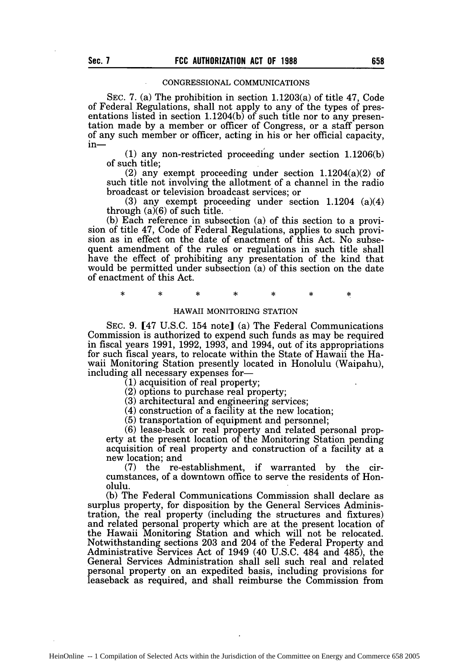#### CONGRESSIONAL COMMUNICATIONS

SEC. 7. (a) The prohibition in section 1.1203(a) of title 47, Code of Federal Regulations, shall not apply to any of the types of presentations listed in section 1.1204(b) of such title nor to any presentation made by a member or officer of Congress, or a staff person of any such member or officer, acting in his or her official capacity, in-

**(1)** any non-restricted proceeding under section 1.1206(b) of such title;

(2) any exempt proceeding under section 1.1204(a)(2) of such title not involving the allotment of a channel in the radio broadcast or television broadcast services; or

(3) any exempt proceeding under section 1.1204 (a)(4) through  $(a)(6)$  of such title.

(b) Each reference in subsection (a) of this section to a provision of title 47, Code of Federal Regulations, applies to such provision as in effect on the date of enactment of this Act. No subsequent amendment of the rules or regulations in such title shall have the effect of prohibiting any presentation of the kind that would be permitted under subsection (a) of this section on the date of enactment of this Act.

 $\ast$ 

#### HAWAII MONITORING STATION

SEC. 9. [47 U.S.C. 154 note] (a) The Federal Communications Commission is authorized to expend such funds as may be required in fiscal years 1991, 1992, 1993, and 1994, out of its appropriations for such fiscal years, to relocate within the State of Hawaii the Hawaii Monitoring Station presently located in Honolulu (Waipahu), including all necessary expenses for-

**(1)** acquisition of real property;

(2) options to purchase real property;

(3) architectural and engineering services;

(4) construction of a facility at the new location;

(5) transportation of equipment and personnel;

(6) lease-back or real property and related personal property at the present location of the Monitoring Station pending acquisition of real property and construction of a facility at a new location; and

(7) the re-establishment, if warranted by the circumstances, of a downtown office to serve the residents of Honolulu.

(b) The Federal Communications Commission shall declare as surplus property, for disposition by the General Services Administration, the real property (including the structures and fixtures) and related personal property which are at the present location of the Hawaii Monitoring Station and which will not be relocated. Notwithstanding sections 203 and 204 of the Federal Property and Administrative Services Act of 1949 (40 U.S.C. 484 and 485), the General Services Administration shall sell such real and related personal property on an expedited basis, including provisions for leaseback as required, and shall reimburse the Commission from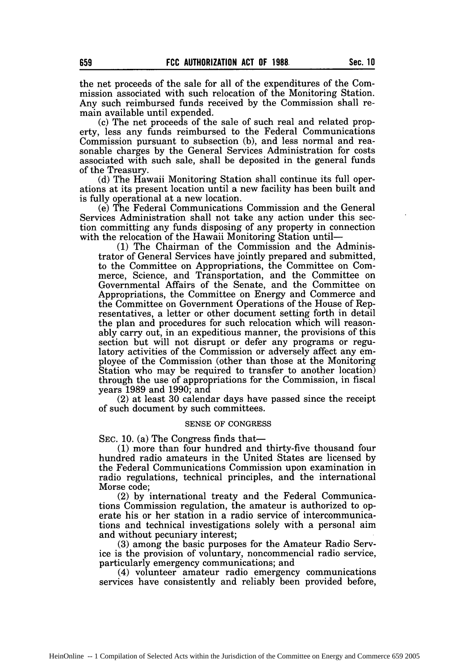the net proceeds of the sale for all of the expenditures of the Commission associated with such relocation of the Monitoring Station. Any such reimbursed funds received by the Commission shall remain available until expended.

(c) The net proceeds of the sale of such real and related property, less any funds reimbursed to the Federal Communications Commission pursuant to subsection (b), and less normal and reasonable charges by the General Services Administration for costs associated with such sale, shall be deposited in the general funds of the Treasury.

(d) The Hawaii Monitoring Station shall continue its full operations at its present location until a new facility has been built and is fully operational at a new location.

(e) The Federal Communications Commission and the General Services Administration shall not take any action under this section committing any funds disposing of any property in connection with the relocation of the Hawaii Monitoring Station until-

**(1)** The Chairman of the Commission and the Administrator of General Services have jointly prepared and submitted, to the Committee on Appropriations, the Committee on Commerce, Science, and Transportation, and the Committee on Governmental Affairs of the Senate, and the Committee on Appropriations, the Committee on Energy and Commerce and the Committee on Government Operations of the House of Representatives, a letter or other document setting forth in detail the plan and procedures for such relocation which will reasonably carry out, in an expeditious manner, the provisions of this section but will not disrupt or defer any programs or regulatory activities of the Commission or adversely affect any employee of the Commission (other than those at the Monitoring Station who may be required to transfer to another location) through the use of appropriations for the Commission, in fiscal years 1989 and 1990; and

(2) at least 30 calendar days have passed since the receipt of such document by such committees.

#### SENSE OF CONGRESS

SEC. 10. (a) The Congress finds that-

**(1)** more than four hundred and thirty-five thousand four hundred radio amateurs in the United States are licensed by the Federal Communications Commission upon examination in radio regulations, technical principles, and the international Morse code;

(2) by international treaty and the Federal Communications Commission regulation, the amateur is authorized to operate his or her station in a radio service of intercommunications and technical investigations solely with a personal aim and without pecuniary interest;

(3) among the basic purposes for the Amateur Radio Service is the provision of voluntary, noncommencial radio service, particularly emergency communications; and

(4) volunteer amateur radio emergency communications services have consistently and reliably been provided before,

HeinOnline -- 1 Compilation of Selected Acts within the Jurisdiction of the Committee on Energy and Commerce 659 2005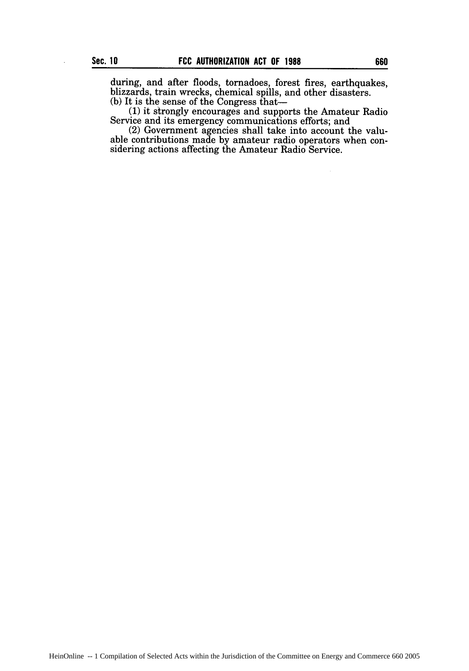during, and after floods, tornadoes, forest fires, earthquakes, blizzards, train wrecks, chemical spills, and other disasters. (b) It is the sense of the Congress that-

**(1)** it strongly encourages and supports the Amateur Radio Service and its emergency communications efforts; and

(2) Government agencies shall take into account the valuable contributions made by amateur radio operators when considering actions affecting the Amateur Radio Service.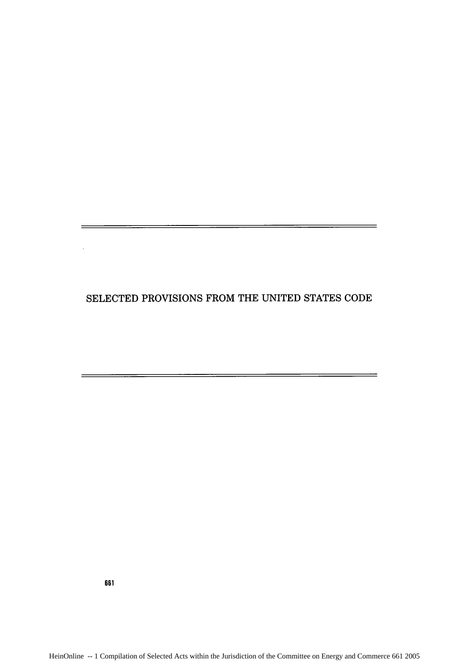## SELECTED PROVISIONS FROM THE UNITED STATES CODE

<u>este al control de la control de la control de la control de la control de la con</u>

L,

661

<u> 1980 - Johann Harry Harry Harry Harry Harry Harry Harry Harry Harry Harry Harry Harry Harry Harry Harry Harry</u>

<u> 1989 - Andrea Station, Amerikaansk politiker (d. 1989)</u>

 $\equiv$ 

 $=$